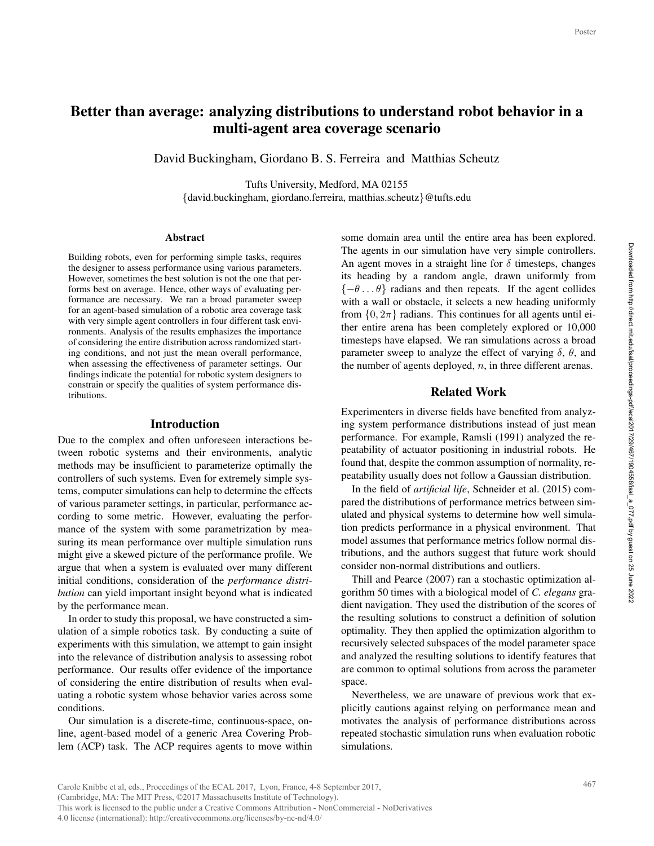# Better than average: analyzing distributions to understand robot behavior in a multi-agent area coverage scenario

David Buckingham, Giordano B. S. Ferreira and Matthias Scheutz

Tufts University, Medford, MA 02155

{david.buckingham, giordano.ferreira, matthias.scheutz}@tufts.edu

#### Abstract

Building robots, even for performing simple tasks, requires the designer to assess performance using various parameters. However, sometimes the best solution is not the one that performs best on average. Hence, other ways of evaluating performance are necessary. We ran a broad parameter sweep for an agent-based simulation of a robotic area coverage task with very simple agent controllers in four different task environments. Analysis of the results emphasizes the importance of considering the entire distribution across randomized starting conditions, and not just the mean overall performance, when assessing the effectiveness of parameter settings. Our findings indicate the potential for robotic system designers to constrain or specify the qualities of system performance distributions.

#### Introduction

Due to the complex and often unforeseen interactions between robotic systems and their environments, analytic methods may be insufficient to parameterize optimally the controllers of such systems. Even for extremely simple systems, computer simulations can help to determine the effects of various parameter settings, in particular, performance according to some metric. However, evaluating the performance of the system with some parametrization by measuring its mean performance over multiple simulation runs might give a skewed picture of the performance profile. We argue that when a system is evaluated over many different initial conditions, consideration of the *performance distribution* can yield important insight beyond what is indicated by the performance mean.

In order to study this proposal, we have constructed a simulation of a simple robotics task. By conducting a suite of experiments with this simulation, we attempt to gain insight into the relevance of distribution analysis to assessing robot performance. Our results offer evidence of the importance of considering the entire distribution of results when evaluating a robotic system whose behavior varies across some conditions.

Our simulation is a discrete-time, continuous-space, online, agent-based model of a generic Area Covering Problem (ACP) task. The ACP requires agents to move within

some domain area until the entire area has been explored. The agents in our simulation have very simple controllers. An agent moves in a straight line for  $\delta$  timesteps, changes its heading by a random angle, drawn uniformly from  $\{-\theta \dots \theta\}$  radians and then repeats. If the agent collides with a wall or obstacle, it selects a new heading uniformly from  $\{0, 2\pi\}$  radians. This continues for all agents until either entire arena has been completely explored or 10,000 timesteps have elapsed. We ran simulations across a broad parameter sweep to analyze the effect of varying  $\delta$ ,  $\theta$ , and the number of agents deployed,  $n$ , in three different arenas. Poster<br>Poster<br>Poster<br>Contend Ullers.<br>Illers.<br>Inges if the simula-<br>namas.<br>alyz-<br>mean and al-<br>Sy, re-<br>ion.<br>Sim-<br>Indis-<br>Indis-<br>Indis-<br>Indis-<br>Indis-<br>Indis-<br>Indis-<br>Indis-<br>Indis-<br>Indis-<br>Indis-<br>Indis-<br>Indis-<br>Indis-<br>Indis-<br>Indis-<br>

### Related Work

Experimenters in diverse fields have benefited from analyzing system performance distributions instead of just mean performance. For example, Ramsli (1991) analyzed the repeatability of actuator positioning in industrial robots. He found that, despite the common assumption of normality, repeatability usually does not follow a Gaussian distribution.

In the field of *artificial life*, Schneider et al. (2015) compared the distributions of performance metrics between simulated and physical systems to determine how well simulation predicts performance in a physical environment. That model assumes that performance metrics follow normal distributions, and the authors suggest that future work should consider non-normal distributions and outliers.

Thill and Pearce (2007) ran a stochastic optimization algorithm 50 times with a biological model of *C. elegans* gradient navigation. They used the distribution of the scores of the resulting solutions to construct a definition of solution optimality. They then applied the optimization algorithm to recursively selected subspaces of the model parameter space and analyzed the resulting solutions to identify features that are common to optimal solutions from across the parameter space.

Nevertheless, we are unaware of previous work that explicitly cautions against relying on performance mean and motivates the analysis of performance distributions across repeated stochastic simulation runs when evaluation robotic simulations.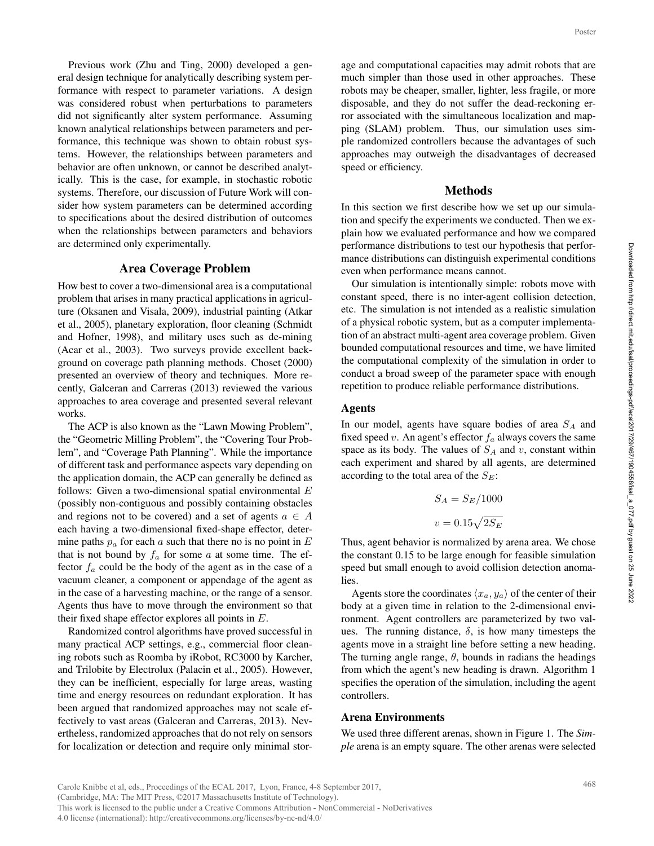Previous work (Zhu and Ting, 2000) developed a general design technique for analytically describing system performance with respect to parameter variations. A design was considered robust when perturbations to parameters did not significantly alter system performance. Assuming known analytical relationships between parameters and performance, this technique was shown to obtain robust systems. However, the relationships between parameters and behavior are often unknown, or cannot be described analytically. This is the case, for example, in stochastic robotic systems. Therefore, our discussion of Future Work will consider how system parameters can be determined according to specifications about the desired distribution of outcomes when the relationships between parameters and behaviors are determined only experimentally.

### Area Coverage Problem

How best to cover a two-dimensional area is a computational problem that arises in many practical applications in agriculture (Oksanen and Visala, 2009), industrial painting (Atkar et al., 2005), planetary exploration, floor cleaning (Schmidt and Hofner, 1998), and military uses such as de-mining (Acar et al., 2003). Two surveys provide excellent background on coverage path planning methods. Choset (2000) presented an overview of theory and techniques. More recently, Galceran and Carreras (2013) reviewed the various approaches to area coverage and presented several relevant works.

The ACP is also known as the "Lawn Mowing Problem", the "Geometric Milling Problem", the "Covering Tour Problem", and "Coverage Path Planning". While the importance of different task and performance aspects vary depending on the application domain, the ACP can generally be defined as follows: Given a two-dimensional spatial environmental  $E$ (possibly non-contiguous and possibly containing obstacles and regions not to be covered) and a set of agents  $a \in A$ each having a two-dimensional fixed-shape effector, determine paths  $p_a$  for each a such that there no is no point in  $E$ that is not bound by  $f_a$  for some a at some time. The effector  $f_a$  could be the body of the agent as in the case of a vacuum cleaner, a component or appendage of the agent as in the case of a harvesting machine, or the range of a sensor. Agents thus have to move through the environment so that their fixed shape effector explores all points in  $E$ .

Randomized control algorithms have proved successful in many practical ACP settings, e.g., commercial floor cleaning robots such as Roomba by iRobot, RC3000 by Karcher, and Trilobite by Electrolux (Palacin et al., 2005). However, they can be inefficient, especially for large areas, wasting time and energy resources on redundant exploration. It has been argued that randomized approaches may not scale effectively to vast areas (Galceran and Carreras, 2013). Nevertheless, randomized approaches that do not rely on sensors for localization or detection and require only minimal stor-

age and computational capacities may admit robots that are much simpler than those used in other approaches. These robots may be cheaper, smaller, lighter, less fragile, or more disposable, and they do not suffer the dead-reckoning error associated with the simultaneous localization and mapping (SLAM) problem. Thus, our simulation uses simple randomized controllers because the advantages of such approaches may outweigh the disadvantages of decreased speed or efficiency.

#### Methods

In this section we first describe how we set up our simulation and specify the experiments we conducted. Then we explain how we evaluated performance and how we compared performance distributions to test our hypothesis that performance distributions can distinguish experimental conditions even when performance means cannot.

Our simulation is intentionally simple: robots move with constant speed, there is no inter-agent collision detection, etc. The simulation is not intended as a realistic simulation of a physical robotic system, but as a computer implementation of an abstract multi-agent area coverage problem. Given bounded computational resources and time, we have limited the computational complexity of the simulation in order to conduct a broad sweep of the parameter space with enough repetition to produce reliable performance distributions. Poster<br>
at are<br>
these<br>
more<br>
g er-<br>
sim-<br>
sim-<br>
sim-<br>
sim-<br>
sim-<br>
and<br>
mula-<br>
ex-<br>
pare for-<br>
are for-<br>
and<br>
sim-<br>
inter<br>
inter<br>
inter<br>
to ugh<br>
sim-<br>
their<br>
sim-<br>
sim-<br>
sim-<br>
sim-<br>
sim-<br>
sim-<br>
sim-<br>
sim-<br>
sim-<br>
sim-<br>
sim-<br>

#### Agents

In our model, agents have square bodies of area  $S_A$  and fixed speed v. An agent's effector  $f_a$  always covers the same space as its body. The values of  $S_A$  and v, constant within each experiment and shared by all agents, are determined according to the total area of the  $S_E$ :

$$
S_A = S_E / 1000
$$

$$
v = 0.15 \sqrt{2S_E}
$$

Thus, agent behavior is normalized by arena area. We chose the constant 0.15 to be large enough for feasible simulation speed but small enough to avoid collision detection anomalies.

Agents store the coordinates  $\langle x_a, y_a \rangle$  of the center of their body at a given time in relation to the 2-dimensional environment. Agent controllers are parameterized by two values. The running distance,  $\delta$ , is how many timesteps the agents move in a straight line before setting a new heading. The turning angle range,  $\theta$ , bounds in radians the headings from which the agent's new heading is drawn. Algorithm 1 specifies the operation of the simulation, including the agent controllers.

### Arena Environments

We used three different arenas, shown in Figure 1. The *Simple* arena is an empty square. The other arenas were selected

Carole Knibbe et al, eds., Proceedings of the ECAL 2017, Lyon, France, 4-8 September 2017, (Cambridge, MA: The MIT Press, ©2017 Massachusetts Institute of Technology). This work is licensed to the public under a Creative Commons Attribution - NonCommercial - NoDerivatives 4.0 license (international): http://creativecommons.org/licenses/by-nc-nd/4.0/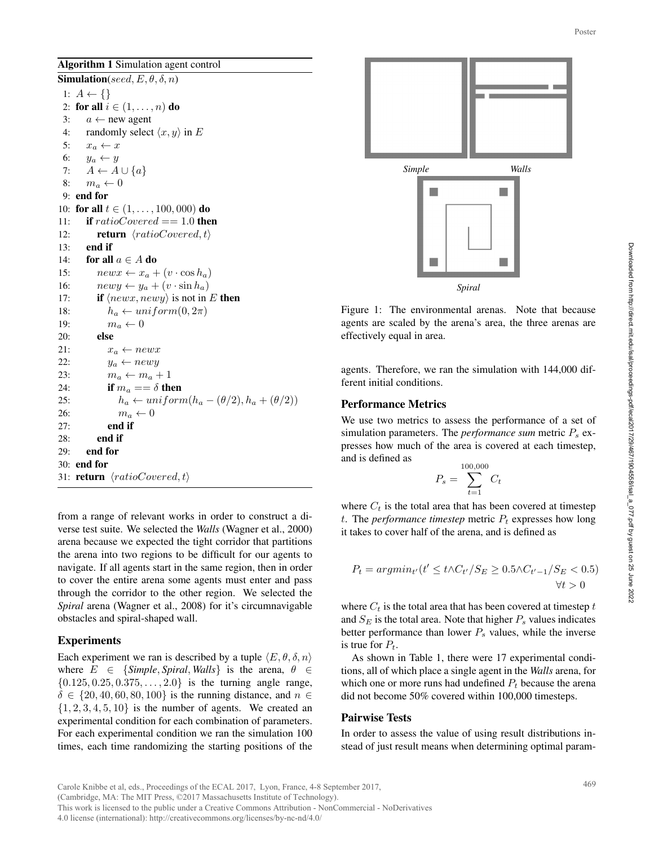Algorithm 1 Simulation agent control

Simulation(seed,  $E, \theta, \delta, n$ ) 1:  $A \leftarrow \{\}$ 2: for all  $i \in (1, \ldots, n)$  do 3:  $a \leftarrow$  new agent 4: randomly select  $\langle x, y \rangle$  in E 5:  $x_a \leftarrow x$ 6:  $y_a \leftarrow y$ 7:  $A \leftarrow A \cup \{a\}$ 8:  $m_a \leftarrow 0$ 9: end for 10: for all  $t \in (1, \ldots, 100, 000)$  do 11: if  $ratioCovered == 1.0$  then 12: **return**  $\langle ratioCovered, t \rangle$ 13: end if 14: for all  $a \in A$  do 15:  $newx \leftarrow x_a + (v \cdot \cos h_a)$ 16:  $newy \leftarrow y_a + (v \cdot \sin h_a)$ 17: **if**  $\langle newx, newy \rangle$  is not in E **then** 18:  $h_a \leftarrow uniform(0, 2\pi)$ 19:  $m_a \leftarrow 0$ 20: else 21:  $x_a \leftarrow newx$ 22:  $y_a \leftarrow newy$ 23:  $m_a \leftarrow m_a + 1$ 24: if  $m_a == \delta$  then 25:  $h_a \leftarrow uniform(h_a - (\theta/2), h_a + (\theta/2))$ 26:  $m_a \leftarrow 0$ 27: end if 28: end if 29: end for 30: end for 31: **return**  $\langle ratioCovered, t \rangle$ 

from a range of relevant works in order to construct a diverse test suite. We selected the *Walls* (Wagner et al., 2000) arena because we expected the tight corridor that partitions the arena into two regions to be difficult for our agents to navigate. If all agents start in the same region, then in order to cover the entire arena some agents must enter and pass through the corridor to the other region. We selected the *Spiral* arena (Wagner et al., 2008) for it's circumnavigable obstacles and spiral-shaped wall.

# Experiments

Each experiment we ran is described by a tuple  $\langle E, \theta, \delta, n \rangle$ where  $E \in \{Simple, Spiral, Walls\}$  is the arena,  $\theta \in$  ${0.125, 0.25, 0.375, \ldots, 2.0}$  is the turning angle range,  $\delta \in \{20, 40, 60, 80, 100\}$  is the running distance, and  $n \in$  $\{1, 2, 3, 4, 5, 10\}$  is the number of agents. We created an experimental condition for each combination of parameters. For each experimental condition we ran the simulation 100 times, each time randomizing the starting positions of the



Figure 1: The environmental arenas. Note that because agents are scaled by the arena's area, the three arenas are effectively equal in area.

agents. Therefore, we ran the simulation with 144,000 different initial conditions.

### Performance Metrics

We use two metrics to assess the performance of a set of simulation parameters. The *performance sum* metric  $P_s$  expresses how much of the area is covered at each timestep, and is defined as

$$
P_s = \sum_{t=1}^{100,000} C_t
$$

where  $C_t$  is the total area that has been covered at timestep t. The *performance timestep* metric  $P_t$  expresses how long it takes to cover half of the arena, and is defined as

$$
P_t = argmin_{t'}(t' \le t \land C_{t'}/S_E \ge 0.5 \land C_{t'-1}/S_E < 0.5)
$$
  

$$
\forall t > 0
$$

where  $C_t$  is the total area that has been covered at timestep  $t$ and  $S_E$  is the total area. Note that higher  $P_s$  values indicates better performance than lower  $P_s$  values, while the inverse is true for  $P_t$ .

As shown in Table 1, there were 17 experimental conditions, all of which place a single agent in the *Walls* arena, for which one or more runs had undefined  $P_t$  because the arena did not become 50% covered within 100,000 timesteps.

#### Pairwise Tests

In order to assess the value of using result distributions instead of just result means when determining optimal param-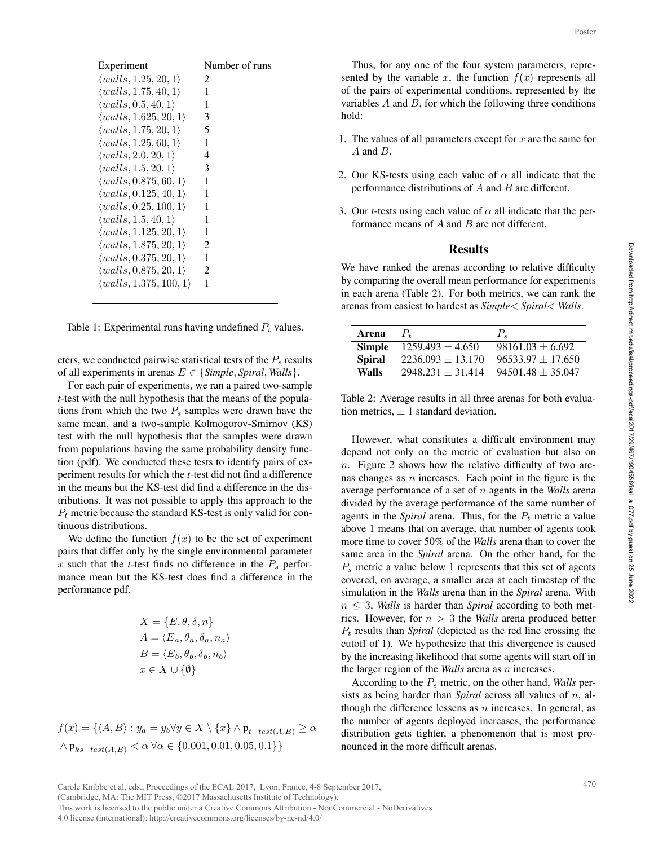| Experiment                            | Number of runs |
|---------------------------------------|----------------|
| $\langle walls, 1.25, 20, 1\rangle$   | 2              |
| $\langle walls, 1.75, 40, 1\rangle$   | 1              |
| $\langle walls, 0.5, 40, 1\rangle$    |                |
| $\langle walls, 1.625, 20, 1\rangle$  | 3              |
| $\langle walls, 1.75, 20, 1\rangle$   | 5              |
| $\langle walls, 1.25, 60, 1\rangle$   | 1              |
| $\langle walls, 2.0, 20, 1 \rangle$   | 4              |
| $\langle walls, 1.5, 20, 1\rangle$    | 3              |
| $\langle walls, 0.875, 60, 1\rangle$  | 1              |
| $\langle walls, 0.125, 40, 1\rangle$  | 1              |
| $\langle walls, 0.25, 100, 1\rangle$  | 1              |
| $\langle walls, 1.5, 40, 1\rangle$    | 1              |
| $\langle walls, 1.125, 20, 1\rangle$  | 1              |
| $\langle walls, 1.875, 20, 1\rangle$  | 2              |
| $\langle walls, 0.375, 20, 1 \rangle$ | 1              |
| $\langle walls, 0.875, 20, 1\rangle$  | 2              |
| $\langle walls, 1.375, 100, 1\rangle$ | 1              |
|                                       |                |

Table 1: Experimental runs having undefined  $P_t$  values.

eters, we conducted pairwise statistical tests of the  $P_s$  results of all experiments in arenas  $E \in \{Simple, Spiral, Walls\}.$ 

For each pair of experiments, we ran a paired two-sample *t*-test with the null hypothesis that the means of the populations from which the two  $P_s$  samples were drawn have the same mean, and a two-sample Kolmogorov-Smirnov (KS) test with the null hypothesis that the samples were drawn from populations having the same probability density function (pdf). We conducted these tests to identify pairs of experiment results for which the *t*-test did not find a difference in the means but the KS-test did find a difference in the distributions. It was not possible to apply this approach to the  $P_t$  metric because the standard KS-test is only valid for continuous distributions.

We define the function  $f(x)$  to be the set of experiment pairs that differ only by the single environmental parameter x such that the  $t$ -test finds no difference in the  $P_s$  performance mean but the KS-test does find a difference in the performance pdf.

$$
X = \{E, \theta, \delta, n\}
$$
  
\n
$$
A = \langle E_a, \theta_a, \delta_a, n_a \rangle
$$
  
\n
$$
B = \langle E_b, \theta_b, \delta_b, n_b \rangle
$$
  
\n
$$
x \in X \cup \{\emptyset\}
$$

$$
f(x) = \{ \langle A, B \rangle : y_a = y_b \forall y \in X \setminus \{x\} \land p_{t-test(A,B)} \ge \alpha \land p_{ks-test(A,B)} < \alpha \,\forall \alpha \in \{0.001, 0.01, 0.05, 0.1\} \}
$$

Thus, for any one of the four system parameters, represented by the variable x, the function  $f(x)$  represents all of the pairs of experimental conditions, represented by the variables  $A$  and  $B$ , for which the following three conditions hold:

- 1. The values of all parameters except for  $x$  are the same for  $A$  and  $B$ .
- 2. Our KS-tests using each value of  $\alpha$  all indicate that the performance distributions of  $A$  and  $B$  are different.
- 3. Our *t*-tests using each value of  $\alpha$  all indicate that the performance means of A and B are not different.

### Results

We have ranked the arenas according to relative difficulty by comparing the overall mean performance for experiments in each arena (Table 2). For both metrics, we can rank the arenas from easiest to hardest as *Simple*< *Spiral*< *Walls*.

| Arena         |                     | Р.                    |
|---------------|---------------------|-----------------------|
| <b>Simple</b> | $1259.493 + 4.650$  | $98161.03 + 6.692$    |
| <b>Spiral</b> | $2236.093 + 13.170$ | $96533.97 + 17.650$   |
| Walls         | $2948.231 + 31.414$ | $94501.48 \pm 35.047$ |

Table 2: Average results in all three arenas for both evaluation metrics,  $\pm$  1 standard deviation.

However, what constitutes a difficult environment may depend not only on the metric of evaluation but also on n. Figure 2 shows how the relative difficulty of two arenas changes as  $n$  increases. Each point in the figure is the average performance of a set of n agents in the *Walls* arena divided by the average performance of the same number of agents in the *Spiral* arena. Thus, for the  $P_t$  metric a value above 1 means that on average, that number of agents took more time to cover 50% of the *Walls* arena than to cover the same area in the *Spiral* arena. On the other hand, for the  $P<sub>s</sub>$  metric a value below 1 represents that this set of agents covered, on average, a smaller area at each timestep of the simulation in the *Walls* arena than in the *Spiral* arena. With  $n \leq 3$ , *Walls* is harder than *Spiral* according to both metrics. However, for n > 3 the *Walls* arena produced better P<sup>t</sup> results than *Spiral* (depicted as the red line crossing the cutoff of 1). We hypothesize that this divergence is caused by the increasing likelihood that some agents will start off in the larger region of the *Walls* arena as n increases. Poster<br>epre-<br>epre-<br>ts all y the<br>pre-<br>ts all tions<br>experience for the<br>per-<br>culty kenter of the<br>same and the same of the<br>same of the widue<br>of the widue<br>of the widue<br>of the widue<br>of in<br>perts of the widue<br>perts of the widue<br>of

According to the P<sup>s</sup> metric, on the other hand, *Walls* persists as being harder than *Spiral* across all values of n, although the difference lessens as  $n$  increases. In general, as the number of agents deployed increases, the performance distribution gets tighter, a phenomenon that is most pronounced in the more difficult arenas.

This work is licensed to the public under a Creative Commons Attribution - NonCommercial - NoDerivatives 4.0 license (international): http://creativecommons.org/licenses/by-nc-nd/4.0/

Carole Knibbe et al, eds., Proceedings of the ECAL 2017, Lyon, France, 4-8 September 2017, (Cambridge, MA: The MIT Press, ©2017 Massachusetts Institute of Technology).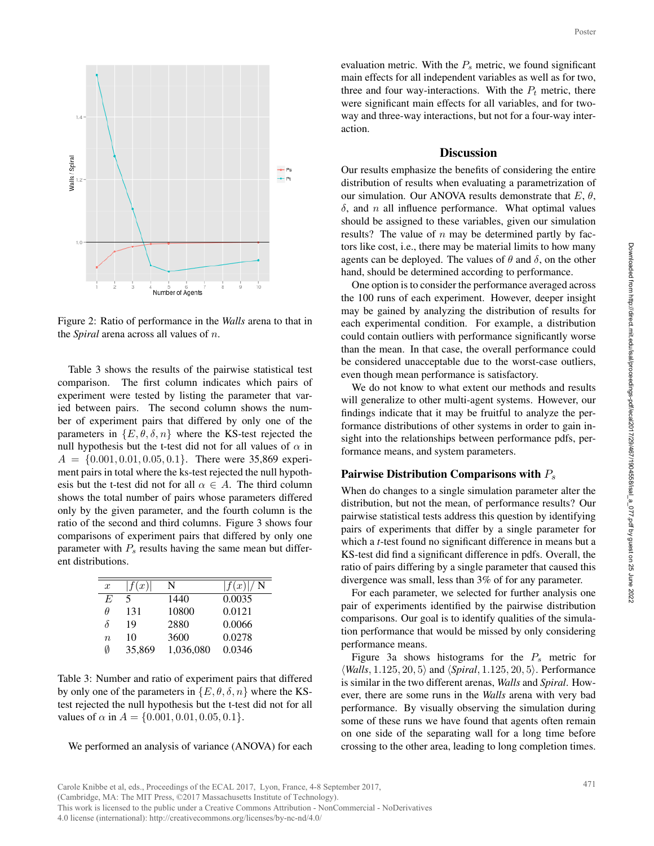

Figure 2: Ratio of performance in the *Walls* arena to that in the *Spiral* arena across all values of n.

Table 3 shows the results of the pairwise statistical test comparison. The first column indicates which pairs of experiment were tested by listing the parameter that varied between pairs. The second column shows the number of experiment pairs that differed by only one of the parameters in  $\{E, \theta, \delta, n\}$  where the KS-test rejected the null hypothesis but the t-test did not for all values of  $\alpha$  in  $A = \{0.001, 0.01, 0.05, 0.1\}$ . There were 35,869 experiment pairs in total where the ks-test rejected the null hypothesis but the t-test did not for all  $\alpha \in A$ . The third column shows the total number of pairs whose parameters differed only by the given parameter, and the fourth column is the ratio of the second and third columns. Figure 3 shows four comparisons of experiment pairs that differed by only one parameter with  $P_s$  results having the same mean but different distributions.

| $\boldsymbol{x}$ | f(x)   | N         | f(x) /N |
|------------------|--------|-----------|---------|
| E                | $\sim$ | 1440      | 0.0035  |
| Ĥ                | 131    | 10800     | 0.0121  |
| δ                | 19     | 2880      | 0.0066  |
| $\boldsymbol{n}$ | 10     | 3600      | 0.0278  |
| Ø                | 35,869 | 1,036,080 | 0.0346  |

Table 3: Number and ratio of experiment pairs that differed by only one of the parameters in  $\{E, \theta, \delta, n\}$  where the KStest rejected the null hypothesis but the t-test did not for all values of  $\alpha$  in  $A = \{0.001, 0.01, 0.05, 0.1\}.$ 

We performed an analysis of variance (ANOVA) for each

evaluation metric. With the  $P_s$  metric, we found significant main effects for all independent variables as well as for two, three and four way-interactions. With the  $P_t$  metric, there were significant main effects for all variables, and for twoway and three-way interactions, but not for a four-way interaction.

# **Discussion**

Our results emphasize the benefits of considering the entire distribution of results when evaluating a parametrization of our simulation. Our ANOVA results demonstrate that  $E, \theta$ ,  $\delta$ , and n all influence performance. What optimal values should be assigned to these variables, given our simulation results? The value of  $n$  may be determined partly by factors like cost, i.e., there may be material limits to how many agents can be deployed. The values of  $\theta$  and  $\delta$ , on the other hand, should be determined according to performance. Poster<br>
icant<br>
icant<br>
icant<br>
two,<br>
there<br>
two,<br>
there<br>
two,<br>
there<br>
inter-<br>
inter-<br>
inter-<br>
inter-<br>
on of E,  $\theta$ ,<br>
alues<br>
ight or<br>
inter-<br>
inter-<br>
inter-<br>
inter-<br>
inter-<br>
inter-<br>
inter-<br>
inter-<br>
inter-<br>
inter-<br>
inter-<br>
i

One option is to consider the performance averaged across the 100 runs of each experiment. However, deeper insight may be gained by analyzing the distribution of results for each experimental condition. For example, a distribution could contain outliers with performance significantly worse than the mean. In that case, the overall performance could be considered unacceptable due to the worst-case outliers, even though mean performance is satisfactory.

We do not know to what extent our methods and results will generalize to other multi-agent systems. However, our findings indicate that it may be fruitful to analyze the performance distributions of other systems in order to gain insight into the relationships between performance pdfs, performance means, and system parameters.

#### Pairwise Distribution Comparisons with  $P_s$

When do changes to a single simulation parameter alter the distribution, but not the mean, of performance results? Our pairwise statistical tests address this question by identifying pairs of experiments that differ by a single parameter for which a *t*-test found no significant difference in means but a KS-test did find a significant difference in pdfs. Overall, the ratio of pairs differing by a single parameter that caused this divergence was small, less than 3% of for any parameter.

For each parameter, we selected for further analysis one pair of experiments identified by the pairwise distribution comparisons. Our goal is to identify qualities of the simulation performance that would be missed by only considering performance means.

Figure 3a shows histograms for the  $P_s$  metric for  $\langle$ *Walls*, 1.125, 20, 5 $\rangle$  and  $\langle$ *Spiral*, 1.125, 20, 5 $\rangle$ . Performance is similar in the two different arenas, *Walls* and *Spiral*. However, there are some runs in the *Walls* arena with very bad performance. By visually observing the simulation during some of these runs we have found that agents often remain on one side of the separating wall for a long time before crossing to the other area, leading to long completion times.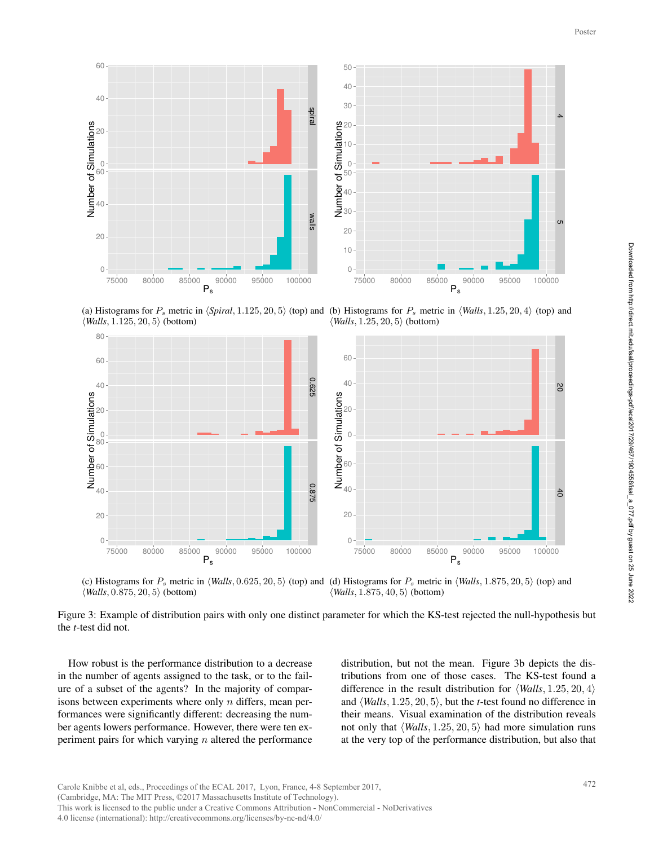

(a) Histograms for  $P_s$  metric in  $\langle$ Spiral, 1.125, 20, 5 $\rangle$  (top) and (b) Histograms for  $P_s$  metric in  $\langle$ *Walls*, 1.25, 20, 4 $\rangle$  (top) and  $\langle$ *Walls*, 1.125, 20, 5 $\rangle$  (bottom)  $\langle$ *Walls*, 1.25, 20, 5 $\rangle$  (bottom)



(c) Histograms for  $P_s$  metric in  $\langle$ *Walls*, 0.625, 20, 5 $\rangle$  (top) and (d) Histograms for  $P_s$  metric in  $\langle$ *Walls*, 1.875, 20, 5 $\rangle$  (top) and  $\langle$ *Walls*, 0.875, 20, 5 $\rangle$  (bottom)  $\langle$ *Walls*, 1.875, 40, 5 $\rangle$  (bottom)

Figure 3: Example of distribution pairs with only one distinct parameter for which the KS-test rejected the null-hypothesis but the *t*-test did not.

How robust is the performance distribution to a decrease in the number of agents assigned to the task, or to the failure of a subset of the agents? In the majority of comparisons between experiments where only  $n$  differs, mean performances were significantly different: decreasing the number agents lowers performance. However, there were ten experiment pairs for which varying  $n$  altered the performance distribution, but not the mean. Figure 3b depicts the distributions from one of those cases. The KS-test found a difference in the result distribution for  $\langle$  *Walls*, 1.25, 20, 4 $\rangle$ and  $\langle$ *Walls*, 1.25, 20, 5 $\rangle$ , but the *t*-test found no difference in their means. Visual examination of the distribution reveals not only that  $\langle$  *Walls*, 1.25, 20, 5 $\rangle$  had more simulation runs at the very top of the performance distribution, but also that s but<br>
t dis-<br>
poster<br>
contains<br>
contains<br>
that<br>
472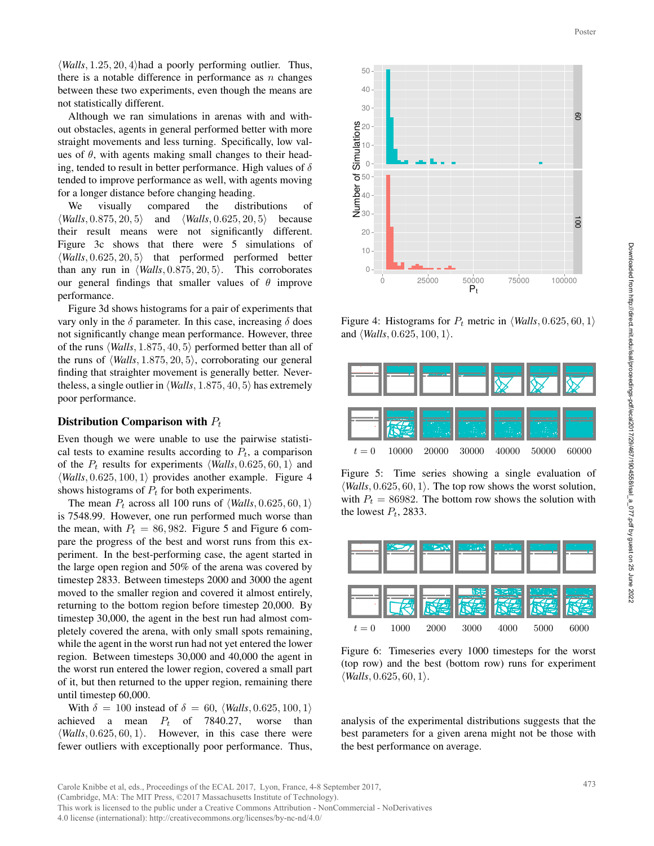$\langle$ *Walls*, 1.25, 20, 4 $\rangle$ had a poorly performing outlier. Thus, there is a notable difference in performance as  $n$  changes between these two experiments, even though the means are not statistically different.

Although we ran simulations in arenas with and without obstacles, agents in general performed better with more straight movements and less turning. Specifically, low values of  $\theta$ , with agents making small changes to their heading, tended to result in better performance. High values of  $\delta$ tended to improve performance as well, with agents moving for a longer distance before changing heading.

We visually compared the distributions of  $\langle$ *Walls*, 0.875, 20, 5 $\rangle$  and  $\langle$ *Walls*, 0.625, 20, 5 $\rangle$  because their result means were not significantly different. Figure 3c shows that there were 5 simulations of  $\langle$ *Walls*,  $0.625, 20, 5$  that performed performed better than any run in  $\langle$  *Walls*, 0.875, 20, 5 $\rangle$ . This corroborates our general findings that smaller values of  $\theta$  improve performance.

Figure 3d shows histograms for a pair of experiments that vary only in the  $\delta$  parameter. In this case, increasing  $\delta$  does not significantly change mean performance. However, three of the runs  $\langle$ *Walls*, 1.875, 40, 5 $\rangle$  performed better than all of the runs of  $\langle$ *Walls*, 1.875, 20, 5 $\rangle$ , corroborating our general finding that straighter movement is generally better. Nevertheless, a single outlier in  $\langle$  *Walls*, 1.875, 40, 5 $\rangle$  has extremely poor performance.

#### Distribution Comparison with  $P_t$

Even though we were unable to use the pairwise statistical tests to examine results according to  $P_t$ , a comparison of the  $P_t$  results for experiments  $\langle$ *Walls*, 0.625, 60, 1 $\rangle$  and  $\langle$ *Walls*, 0.625, 100, 1 $\rangle$  provides another example. Figure 4 shows histograms of  $P_t$  for both experiments.

The mean  $P_t$  across all 100 runs of  $\langle$ *Walls*, 0.625, 60, 1 $\rangle$ is 7548.99. However, one run performed much worse than the mean, with  $P_t = 86,982$ . Figure 5 and Figure 6 compare the progress of the best and worst runs from this experiment. In the best-performing case, the agent started in the large open region and 50% of the arena was covered by timestep 2833. Between timesteps 2000 and 3000 the agent moved to the smaller region and covered it almost entirely, returning to the bottom region before timestep 20,000. By timestep 30,000, the agent in the best run had almost completely covered the arena, with only small spots remaining, while the agent in the worst run had not yet entered the lower region. Between timesteps 30,000 and 40,000 the agent in the worst run entered the lower region, covered a small part of it, but then returned to the upper region, remaining there until timestep 60,000.

With  $\delta = 100$  instead of  $\delta = 60$ ,  $\langle$  *Walls*, 0.625, 100, 1) achieved a mean  $P_t$  of 7840.27, worse than  $\langle$ *Walls*, 0.625, 60, 1 $\rangle$ . However, in this case there were fewer outliers with exceptionally poor performance. Thus,



Figure 4: Histograms for  $P_t$  metric in  $\langle$  *Walls*, 0.625, 60, 1 $\rangle$ and  $\langle$ *Walls*, 0.625, 100, 1 $\rangle$ .



Figure 5: Time series showing a single evaluation of  $\langle$ *Walls*, 0.625, 60, 1 $\rangle$ . The top row shows the worst solution, with  $P_t = 86982$ . The bottom row shows the solution with the lowest  $P_t$ , 2833.



Figure 6: Timeseries every 1000 timesteps for the worst (top row) and the best (bottom row) runs for experiment  $\langle$ *Walls*, 0.625, 60, 1 $\rangle$ .

analysis of the experimental distributions suggests that the best parameters for a given arena might not be those with the best performance on average.

This work is licensed to the public under a Creative Commons Attribution - NonCommercial - NoDerivatives

4.0 license (international): http://creativecommons.org/licenses/by-nc-nd/4.0/

<sup>(</sup>Cambridge, MA: The MIT Press, ©2017 Massachusetts Institute of Technology).